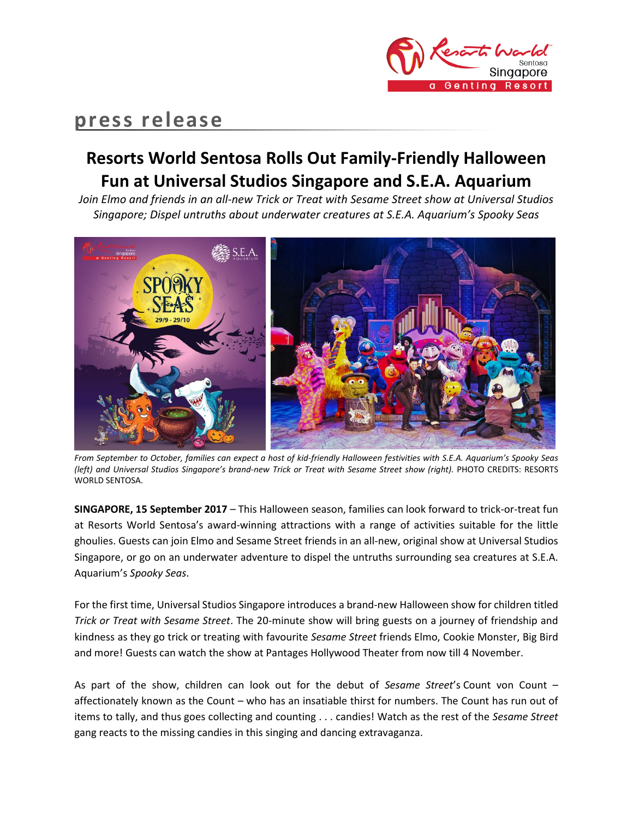

# **press release**

## **Resorts World Sentosa Rolls Out Family-Friendly Halloween Fun at Universal Studios Singapore and S.E.A. Aquarium**

*Join Elmo and friends in an all-new Trick or Treat with Sesame Street show at Universal Studios Singapore; Dispel untruths about underwater creatures at S.E.A. Aquarium's Spooky Seas* 



*From September to October, families can expect a host of kid-friendly Halloween festivities with S.E.A. Aquarium's Spooky Seas (left) and Universal Studios Singapore's brand-new Trick or Treat with Sesame Street show (right).* PHOTO CREDITS: RESORTS WORLD SENTOSA.

**SINGAPORE, 15 September 2017** – This Halloween season, families can look forward to trick-or-treat fun at Resorts World Sentosa's award-winning attractions with a range of activities suitable for the little ghoulies. Guests can join Elmo and Sesame Street friends in an all-new, original show at Universal Studios Singapore, or go on an underwater adventure to dispel the untruths surrounding sea creatures at S.E.A. Aquarium's *Spooky Seas*.

For the first time, Universal Studios Singapore introduces a brand-new Halloween show for children titled *Trick or Treat with Sesame Street*. The 20-minute show will bring guests on a journey of friendship and kindness as they go trick or treating with favourite *Sesame Street* friends Elmo, Cookie Monster, Big Bird and more! Guests can watch the show at Pantages Hollywood Theater from now till 4 November.

As part of the show, children can look out for the debut of *Sesame Street*'s Count von Count – affectionately known as the Count – who has an insatiable thirst for numbers. The Count has run out of items to tally, and thus goes collecting and counting . . . candies! Watch as the rest of the *Sesame Street* gang reacts to the missing candies in this singing and dancing extravaganza.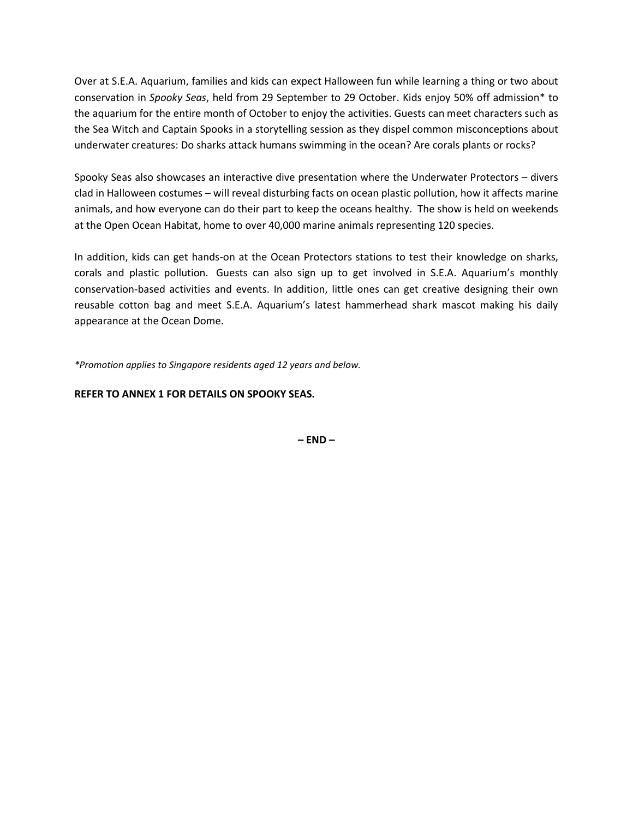Over at S.E.A. Aquarium, families and kids can expect Halloween fun while learning a thing or two about conservation in *Spooky Seas*, held from 29 September to 29 October. Kids enjoy 50% off admission\* to the aquarium for the entire month of October to enjoy the activities. Guests can meet characters such as the Sea Witch and Captain Spooks in a storytelling session as they dispel common misconceptions about underwater creatures: Do sharks attack humans swimming in the ocean? Are corals plants or rocks?

Spooky Seas also showcases an interactive dive presentation where the Underwater Protectors – divers clad in Halloween costumes – will reveal disturbing facts on ocean plastic pollution, how it affects marine animals, and how everyone can do their part to keep the oceans healthy. The show is held on weekends at the Open Ocean Habitat, home to over 40,000 marine animals representing 120 species.

In addition, kids can get hands-on at the Ocean Protectors stations to test their knowledge on sharks, corals and plastic pollution. Guests can also sign up to get involved in S.E.A. Aquarium's monthly conservation-based activities and events. In addition, little ones can get creative designing their own reusable cotton bag and meet S.E.A. Aquarium's latest hammerhead shark mascot making his daily appearance at the Ocean Dome.

*\*Promotion applies to Singapore residents aged 12 years and below.*

### **REFER TO ANNEX 1 FOR DETAILS ON SPOOKY SEAS.**

**– END –**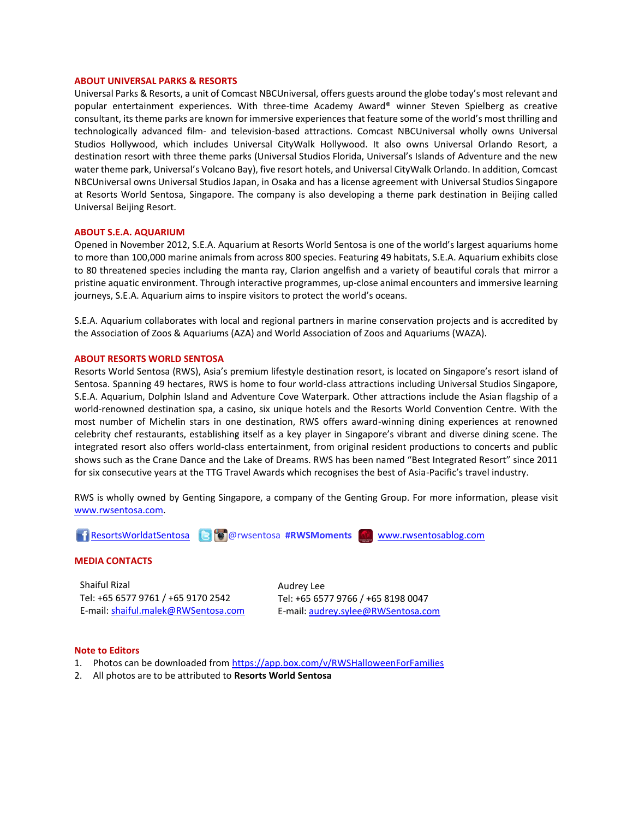#### **ABOUT UNIVERSAL PARKS & RESORTS**

Universal Parks & Resorts, a unit of Comcast NBCUniversal, offers guests around the globe today's most relevant and popular entertainment experiences. With three-time Academy Award® winner Steven Spielberg as creative consultant, its theme parks are known for immersive experiences that feature some of the world's most thrilling and technologically advanced film- and television-based attractions. Comcast NBCUniversal wholly owns Universal Studios Hollywood, which includes Universal CityWalk Hollywood. It also owns Universal Orlando Resort, a destination resort with three theme parks (Universal Studios Florida, Universal's Islands of Adventure and the new water theme park, Universal's Volcano Bay), five resort hotels, and Universal CityWalk Orlando. In addition, Comcast NBCUniversal owns Universal Studios Japan, in Osaka and has a license agreement with Universal Studios Singapore at Resorts World Sentosa, Singapore. The company is also developing a theme park destination in Beijing called Universal Beijing Resort.

#### **ABOUT S.E.A. AQUARIUM**

Opened in November 2012, S.E.A. Aquarium at Resorts World Sentosa is one of the world's largest aquariums home to more than 100,000 marine animals from across 800 species. Featuring 49 habitats, S.E.A. Aquarium exhibits close to 80 threatened species including the manta ray, Clarion angelfish and a variety of beautiful corals that mirror a pristine aquatic environment. Through interactive programmes, up-close animal encounters and immersive learning journeys, S.E.A. Aquarium aims to inspire visitors to protect the world's oceans.

S.E.A. Aquarium collaborates with local and regional partners in marine conservation projects and is accredited by the Association of Zoos & Aquariums (AZA) and World Association of Zoos and Aquariums (WAZA).

#### **ABOUT RESORTS WORLD SENTOSA**

Resorts World Sentosa (RWS), Asia's premium lifestyle destination resort, is located on Singapore's resort island of Sentosa. Spanning 49 hectares, RWS is home to four world-class attractions including Universal Studios Singapore, S.E.A. Aquarium, Dolphin Island and Adventure Cove Waterpark. Other attractions include the Asian flagship of a world-renowned destination spa, a casino, six unique hotels and the Resorts World Convention Centre. With the most number of Michelin stars in one destination, RWS offers award-winning dining experiences at renowned celebrity chef restaurants, establishing itself as a key player in Singapore's vibrant and diverse dining scene. The integrated resort also offers world-class entertainment, from original resident productions to concerts and public shows such as the Crane Dance and the Lake of Dreams. RWS has been named "Best Integrated Resort" since 2011 for six consecutive years at the TTG Travel Awards which recognises the best of Asia-Pacific's travel industry.

RWS is wholly owned by Genting Singapore, a company of the Genting Group. For more information, please visit [www.rwsentosa.com.](http://www.rwsentosa.com/)

[ResortsWorldatSentosa](https://www.facebook.com/ResortsWorldatSentosa) @rwsentosa **#RWSMoments** [www.rwsentosablog.com](http://www.rwsentosablog.com/)

#### **MEDIA CONTACTS**

Shaiful Rizal Tel: +65 6577 9761 / +65 9170 2542 E-mail[: shaiful.malek@RWSentosa.com](mailto:shaiful.malek@RWSentosa.com)

Audrey Lee Tel: +65 6577 9766 / +65 8198 0047 E-mail: [audrey.sylee@RWSentosa.com](mailto:audrey.sylee@RWSentosa.com)

#### **Note to Editors**

- 1. Photos can be downloaded fro[m https://app.box.com/v/RWSHalloweenForFamilies](https://app.box.com/v/RWSHalloweenForFamilies)
- 2. All photos are to be attributed to **Resorts World Sentosa**